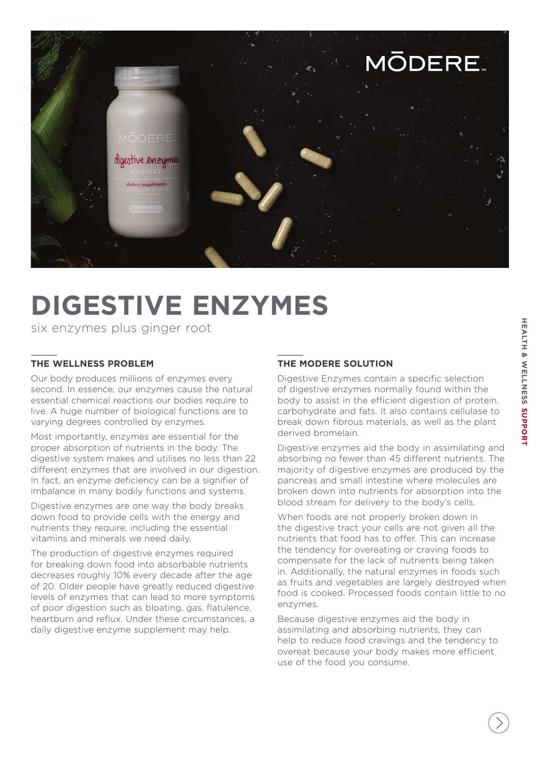

## **DIGESTIVE ENZYMES**

six enzymes plus ginger root

## **THE WELLNESS PROBLEM**

Our body produces millions of enzymes every second. In essence, our enzymes cause the natural essential chemical reactions our bodies require to live. A huge number of biological functions are to varying degrees controlled by enzymes.

Most importantly, enzymes are essential for the proper absorption of nutrients in the body. The digestive system makes and utilises no less than 22 different enzymes that are involved in our digestion. In fact, an enzyme deficiency can be a signifier of imbalance in many bodily functions and systems.

Digestive enzymes are one way the body breaks down food to provide cells with the energy and nutrients they require, including the essential vitamins and minerals we need daily.

The production of digestive enzymes required for breaking down food into absorbable nutrients decreases roughly 10% every decade after the age of 20. Older people have greatly reduced digestive levels of enzymes that can lead to more symptoms of poor digestion such as bloating, gas, flatulence, heartburn and reflux. Under these circumstances, a daily digestive enzyme supplement may help.

## **THE MODERE SOLUTION**

Digestive Enzymes contain a specific selection of digestive enzymes normally found within the body to assist in the efficient digestion of protein, carbohydrate and fats. It also contains cellulase to break down fibrous materials, as well as the plant derived bromelain.

Digestive enzymes aid the body in assimilating and absorbing no fewer than 45 different nutrients. The majority of digestive enzymes are produced by the pancreas and small intestine where molecules are broken down into nutrients for absorption into the blood stream for delivery to the body's cells.

When foods are not properly broken down in the digestive tract your cells are not given all the nutrients that food has to offer. This can increase the tendency for overeating or craving foods to compensate for the lack of nutrients being taken in. Additionally, the natural enzymes in foods such as fruits and vegetables are largely destroyed when food is cooked. Processed foods contain little to no enzymes.

Because digestive enzymes aid the body in assimilating and absorbing nutrients, they can help to reduce food cravings and the tendency to overeat because your body makes more efficient use of the food you consume.